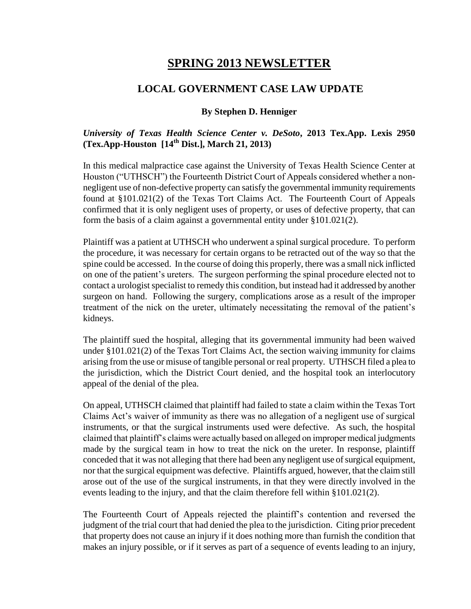# **SPRING 2013 NEWSLETTER**

### **LOCAL GOVERNMENT CASE LAW UPDATE**

#### **By Stephen D. Henniger**

#### *University of Texas Health Science Center v. DeSoto***, 2013 Tex.App. Lexis 2950 (Tex.App-Houston [14th Dist.], March 21, 2013)**

In this medical malpractice case against the University of Texas Health Science Center at Houston ("UTHSCH") the Fourteenth District Court of Appeals considered whether a nonnegligent use of non-defective property can satisfy the governmental immunity requirements found at §101.021(2) of the Texas Tort Claims Act. The Fourteenth Court of Appeals confirmed that it is only negligent uses of property, or uses of defective property, that can form the basis of a claim against a governmental entity under §101.021(2).

Plaintiff was a patient at UTHSCH who underwent a spinal surgical procedure. To perform the procedure, it was necessary for certain organs to be retracted out of the way so that the spine could be accessed. In the course of doing this properly, there was a small nick inflicted on one of the patient's ureters. The surgeon performing the spinal procedure elected not to contact a urologist specialist to remedy this condition, but instead had it addressed by another surgeon on hand. Following the surgery, complications arose as a result of the improper treatment of the nick on the ureter, ultimately necessitating the removal of the patient's kidneys.

The plaintiff sued the hospital, alleging that its governmental immunity had been waived under §101.021(2) of the Texas Tort Claims Act, the section waiving immunity for claims arising from the use or misuse of tangible personal or real property. UTHSCH filed a plea to the jurisdiction, which the District Court denied, and the hospital took an interlocutory appeal of the denial of the plea.

On appeal, UTHSCH claimed that plaintiff had failed to state a claim within the Texas Tort Claims Act's waiver of immunity as there was no allegation of a negligent use of surgical instruments, or that the surgical instruments used were defective. As such, the hospital claimed that plaintiff's claims were actually based on alleged on improper medical judgments made by the surgical team in how to treat the nick on the ureter. In response, plaintiff conceded that it was not alleging that there had been any negligent use of surgical equipment, nor that the surgical equipment was defective. Plaintiffs argued, however, that the claim still arose out of the use of the surgical instruments, in that they were directly involved in the events leading to the injury, and that the claim therefore fell within §101.021(2).

The Fourteenth Court of Appeals rejected the plaintiff's contention and reversed the judgment of the trial court that had denied the plea to the jurisdiction. Citing prior precedent that property does not cause an injury if it does nothing more than furnish the condition that makes an injury possible, or if it serves as part of a sequence of events leading to an injury,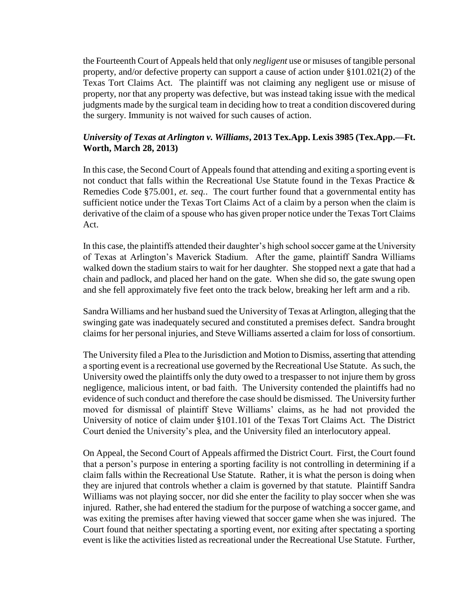the Fourteenth Court of Appeals held that only *negligent* use or misuses of tangible personal property, and/or defective property can support a cause of action under §101.021(2) of the Texas Tort Claims Act. The plaintiff was not claiming any negligent use or misuse of property, nor that any property was defective, but was instead taking issue with the medical judgments made by the surgical team in deciding how to treat a condition discovered during the surgery. Immunity is not waived for such causes of action.

#### *University of Texas at Arlington v. Williams***, 2013 Tex.App. Lexis 3985 (Tex.App.—Ft. Worth, March 28, 2013)**

In this case, the Second Court of Appeals found that attending and exiting a sporting event is not conduct that falls within the Recreational Use Statute found in the Texas Practice  $\&$ Remedies Code §75.001, *et. seq.*. The court further found that a governmental entity has sufficient notice under the Texas Tort Claims Act of a claim by a person when the claim is derivative of the claim of a spouse who has given proper notice under the Texas Tort Claims Act.

In this case, the plaintiffs attended their daughter's high school soccer game at the University of Texas at Arlington's Maverick Stadium. After the game, plaintiff Sandra Williams walked down the stadium stairs to wait for her daughter. She stopped next a gate that had a chain and padlock, and placed her hand on the gate. When she did so, the gate swung open and she fell approximately five feet onto the track below, breaking her left arm and a rib.

Sandra Williams and her husband sued the University of Texas at Arlington, alleging that the swinging gate was inadequately secured and constituted a premises defect. Sandra brought claims for her personal injuries, and Steve Williams asserted a claim for loss of consortium.

The University filed a Plea to the Jurisdiction and Motion to Dismiss, asserting that attending a sporting event is a recreational use governed by the Recreational Use Statute. As such, the University owed the plaintiffs only the duty owed to a trespasser to not injure them by gross negligence, malicious intent, or bad faith. The University contended the plaintiffs had no evidence of such conduct and therefore the case should be dismissed. The University further moved for dismissal of plaintiff Steve Williams' claims, as he had not provided the University of notice of claim under §101.101 of the Texas Tort Claims Act. The District Court denied the University's plea, and the University filed an interlocutory appeal.

On Appeal, the Second Court of Appeals affirmed the District Court. First, the Court found that a person's purpose in entering a sporting facility is not controlling in determining if a claim falls within the Recreational Use Statute. Rather, it is what the person is doing when they are injured that controls whether a claim is governed by that statute. Plaintiff Sandra Williams was not playing soccer, nor did she enter the facility to play soccer when she was injured. Rather, she had entered the stadium for the purpose of watching a soccer game, and was exiting the premises after having viewed that soccer game when she was injured. The Court found that neither spectating a sporting event, nor exiting after spectating a sporting event is like the activities listed as recreational under the Recreational Use Statute. Further,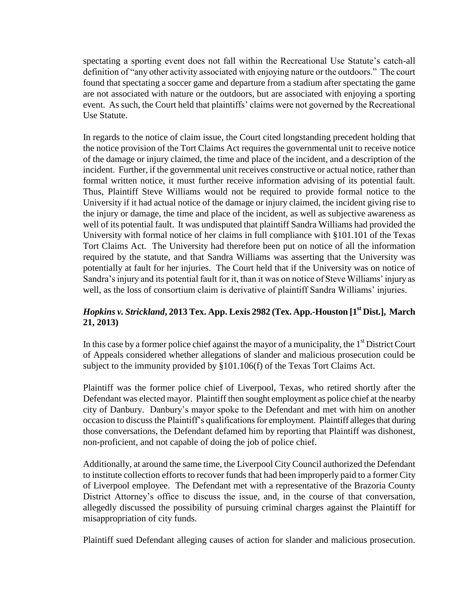spectating a sporting event does not fall within the Recreational Use Statute's catch-all definition of "any other activity associated with enjoying nature or the outdoors." The court found that spectating a soccer game and departure from a stadium after spectating the game are not associated with nature or the outdoors, but are associated with enjoying a sporting event. As such, the Court held that plaintiffs' claims were not governed by the Recreational Use Statute.

In regards to the notice of claim issue, the Court cited longstanding precedent holding that the notice provision of the Tort Claims Act requires the governmental unit to receive notice of the damage or injury claimed, the time and place of the incident, and a description of the incident. Further, if the governmental unit receives constructive or actual notice, rather than formal written notice, it must further receive information advising of its potential fault. Thus, Plaintiff Steve Williams would not be required to provide formal notice to the University if it had actual notice of the damage or injury claimed, the incident giving rise to the injury or damage, the time and place of the incident, as well as subjective awareness as well of its potential fault. It was undisputed that plaintiff Sandra Williams had provided the University with formal notice of her claims in full compliance with §101.101 of the Texas Tort Claims Act. The University had therefore been put on notice of all the information required by the statute, and that Sandra Williams was asserting that the University was potentially at fault for her injuries. The Court held that if the University was on notice of Sandra's injury and its potential fault for it, than it was on notice of Steve Williams' injury as well, as the loss of consortium claim is derivative of plaintiff Sandra Williams' injuries.

## *Hopkins v. Strickland***, 2013 Tex. App. Lexis 2982 (Tex. App.-Houston [1st Dist.], March 21, 2013)**

In this case by a former police chief against the mayor of a municipality, the  $1<sup>st</sup>$  District Court of Appeals considered whether allegations of slander and malicious prosecution could be subject to the immunity provided by §101.106(f) of the Texas Tort Claims Act.

Plaintiff was the former police chief of Liverpool, Texas, who retired shortly after the Defendant was elected mayor. Plaintiff then sought employment as police chief at the nearby city of Danbury. Danbury's mayor spoke to the Defendant and met with him on another occasion to discuss the Plaintiff's qualifications for employment. Plaintiff alleges that during those conversations, the Defendant defamed him by reporting that Plaintiff was dishonest, non-proficient, and not capable of doing the job of police chief.

Additionally, at around the same time, the Liverpool City Council authorized the Defendant to institute collection efforts to recover funds that had been improperly paid to a former City of Liverpool employee. The Defendant met with a representative of the Brazoria County District Attorney's office to discuss the issue, and, in the course of that conversation, allegedly discussed the possibility of pursuing criminal charges against the Plaintiff for misappropriation of city funds.

Plaintiff sued Defendant alleging causes of action for slander and malicious prosecution.